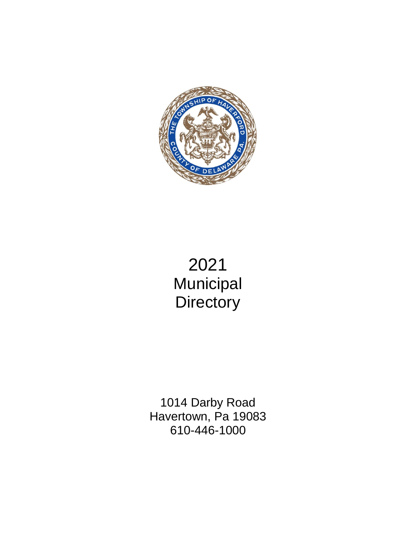

# 2021 **Municipal Directory**

1014 Darby Road Havertown, Pa 19083 610-446-1000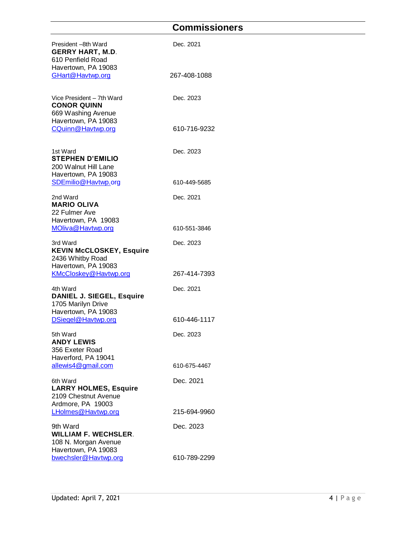# **Commissioners**

<span id="page-3-0"></span>

| President -8th Ward<br><b>GERRY HART, M.D.</b><br>610 Penfield Road                          | Dec. 2021    |
|----------------------------------------------------------------------------------------------|--------------|
| Havertown, PA 19083<br>GHart@Havtwp.org                                                      | 267-408-1088 |
| Vice President - 7th Ward<br><b>CONOR QUINN</b><br>669 Washing Avenue<br>Havertown, PA 19083 | Dec. 2023    |
| CQuinn@Havtwp.org                                                                            | 610-716-9232 |
| 1st Ward<br><b>STEPHEN D'EMILIO</b><br>200 Walnut Hill Lane<br>Havertown, PA 19083           | Dec. 2023    |
| SDEmilio@Havtwp.org                                                                          | 610-449-5685 |
| 2nd Ward<br><b>MARIO OLIVA</b><br>22 Fulmer Ave<br>Havertown, PA 19083                       | Dec. 2021    |
| MOliva@Havtwp.org                                                                            | 610-551-3846 |
| 3rd Ward<br><b>KEVIN McCLOSKEY, Esquire</b><br>2436 Whitby Road<br>Havertown, PA 19083       | Dec. 2023    |
| KMcCloskey@Havtwp.org                                                                        | 267-414-7393 |
| 4th Ward<br><b>DANIEL J. SIEGEL, Esquire</b><br>1705 Marilyn Drive<br>Havertown, PA 19083    | Dec. 2021    |
| DSiegel@Havtwp.org                                                                           | 610-446-1117 |
| 5th Ward<br><b>ANDY LEWIS</b><br>356 Exeter Road<br>Haverford, PA 19041                      | Dec. 2023    |
| allewis4@gmail.com                                                                           | 610-675-4467 |
| 6th Ward<br><b>LARRY HOLMES, Esquire</b><br>2109 Chestnut Avenue<br>Ardmore, PA 19003        | Dec. 2021    |
| LHolmes@Havtwp.org                                                                           | 215-694-9960 |
| 9th Ward<br><b>WILLIAM F. WECHSLER.</b><br>108 N. Morgan Avenue<br>Havertown, PA 19083       | Dec. 2023    |
| bwechsler@Havtwp.org                                                                         | 610-789-2299 |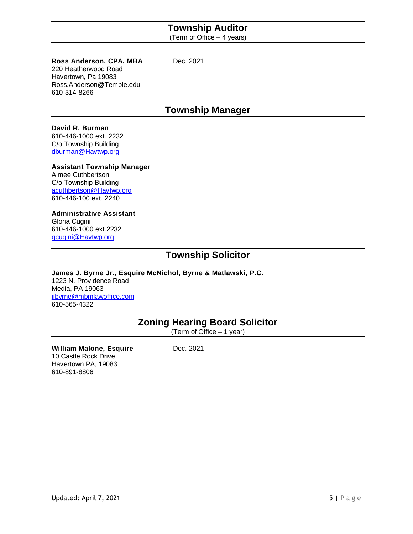### **Township Auditor**

(Term of Office – 4 years)

#### <span id="page-4-0"></span>**Ross Anderson, CPA, MBA** Dec. 2021

220 Heatherwood Road Havertown, Pa 19083 Ross.Anderson@Temple.edu 610-314-8266

### **Township Manager**

#### <span id="page-4-1"></span>**David R. Burman**

610-446-1000 ext. 2232 C/o Township Building dburman@Havtwp.org

#### **Assistant Township Manager**

Aimee Cuthbertson C/o Township Building acuthbertson@Havtwp.org 610-446-100 ext. 2240

#### **Administrative Assistant**

Gloria Cugini 610-446-1000 ext.2232 gcugini@Havtwp.org

### **Township Solicitor**

<span id="page-4-2"></span>**James J. Byrne Jr., Esquire McNichol, Byrne & Matlawski, P.C.** 1223 N. Providence Road Media, PA 19063 [jjbyrne@mbmlawoffice.com](mailto:jjbyrne@mbmlawoffice.com) 610-565-4322

# **Zoning Hearing Board Solicitor**

(Term of Office – 1 year)

#### <span id="page-4-3"></span>**William Malone, Esquire** Dec. 2021 10 Castle Rock Drive Havertown PA, 19083 610-891-8806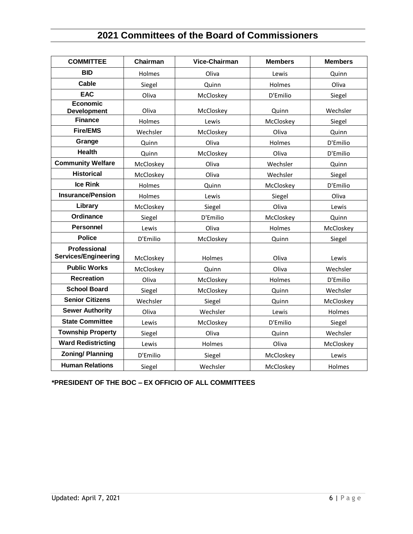# **2021 Committees of the Board of Commissioners**

<span id="page-5-0"></span>

| <b>COMMITTEE</b>                                   | Chairman  | <b>Vice-Chairman</b> | <b>Members</b> | <b>Members</b> |
|----------------------------------------------------|-----------|----------------------|----------------|----------------|
| <b>BID</b>                                         | Holmes    | Oliva                | Lewis          | Quinn          |
| Cable                                              | Siegel    | Quinn                | Holmes         | Oliva          |
| <b>EAC</b>                                         | Oliva     | McCloskey            | D'Emilio       | Siegel         |
| <b>Economic</b><br><b>Development</b>              | Oliva     | McCloskey            | Quinn          | Wechsler       |
| <b>Finance</b>                                     | Holmes    | Lewis                | McCloskey      | Siegel         |
| <b>Fire/EMS</b>                                    | Wechsler  | McCloskey            | Oliva          | Quinn          |
| Grange                                             | Quinn     | Oliva                | Holmes         | D'Emilio       |
| <b>Health</b>                                      | Quinn     | McCloskey            | Oliva          | D'Emilio       |
| <b>Community Welfare</b>                           | McCloskey | Oliva                | Wechsler       | Quinn          |
| <b>Historical</b>                                  | McCloskey | Oliva                | Wechsler       | Siegel         |
| <b>Ice Rink</b>                                    | Holmes    | Quinn                | McCloskey      | D'Emilio       |
| <b>Insurance/Pension</b>                           | Holmes    | Lewis                | Siegel         | Oliva          |
| Library                                            | McCloskey | Siegel               | Oliva          | Lewis          |
| <b>Ordinance</b>                                   | Siegel    | D'Emilio             | McCloskey      | Quinn          |
| <b>Personnel</b>                                   | Lewis     | Oliva                | Holmes         | McCloskey      |
| <b>Police</b>                                      | D'Emilio  | McCloskey            | Quinn          | Siegel         |
| <b>Professional</b><br><b>Services/Engineering</b> | McCloskey | Holmes               | Oliva          | Lewis          |
| <b>Public Works</b>                                | McCloskey | Quinn                | Oliva          | Wechsler       |
| <b>Recreation</b>                                  | Oliva     | McCloskey            | Holmes         | D'Emilio       |
| <b>School Board</b>                                | Siegel    | McCloskey            | Quinn          | Wechsler       |
| <b>Senior Citizens</b>                             | Wechsler  | Siegel               | Quinn          | McCloskey      |
| <b>Sewer Authority</b>                             | Oliva     | Wechsler             | Lewis          | Holmes         |
| <b>State Committee</b>                             | Lewis     | McCloskey            | D'Emilio       | Siegel         |
| <b>Township Property</b>                           | Siegel    | Oliva                | Quinn          | Wechsler       |
| <b>Ward Redistricting</b>                          | Lewis     | Holmes               | Oliva          | McCloskey      |
| <b>Zoning/Planning</b>                             | D'Emilio  | Siegel               | McCloskey      | Lewis          |
| <b>Human Relations</b>                             | Siegel    | Wechsler             | McCloskey      | Holmes         |

**\*PRESIDENT OF THE BOC – EX OFFICIO OF ALL COMMITTEES**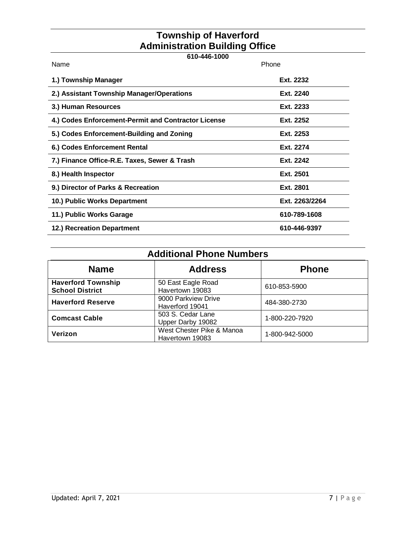# **Township of Haverford Administration Building Office**

<span id="page-6-0"></span>

| 610-446-1000                                        |                |  |
|-----------------------------------------------------|----------------|--|
| Name                                                | Phone          |  |
| 1.) Township Manager                                | Ext. 2232      |  |
| 2.) Assistant Township Manager/Operations           | Ext. 2240      |  |
| 3.) Human Resources                                 | Ext. 2233      |  |
| 4.) Codes Enforcement-Permit and Contractor License | Ext. 2252      |  |
| 5.) Codes Enforcement-Building and Zoning           | Ext. 2253      |  |
| 6.) Codes Enforcement Rental                        | Ext. 2274      |  |
| 7.) Finance Office-R.E. Taxes, Sewer & Trash        | Ext. 2242      |  |
| 8.) Health Inspector                                | Ext. 2501      |  |
| 9.) Director of Parks & Recreation                  | Ext. 2801      |  |
| 10.) Public Works Department                        | Ext. 2263/2264 |  |
| 11.) Public Works Garage                            | 610-789-1608   |  |
| 12.) Recreation Department                          | 610-446-9397   |  |

# **Additional Phone Numbers**

<span id="page-6-1"></span>

| <b>Name</b>                                         | <b>Address</b>                               | <b>Phone</b>   |
|-----------------------------------------------------|----------------------------------------------|----------------|
| <b>Haverford Township</b><br><b>School District</b> | 50 East Eagle Road<br>Havertown 19083        | 610-853-5900   |
| <b>Haverford Reserve</b>                            | 9000 Parkview Drive<br>Haverford 19041       | 484-380-2730   |
| <b>Comcast Cable</b>                                | 503 S. Cedar Lane<br>Upper Darby 19082       | 1-800-220-7920 |
| Verizon                                             | West Chester Pike & Manoa<br>Havertown 19083 | 1-800-942-5000 |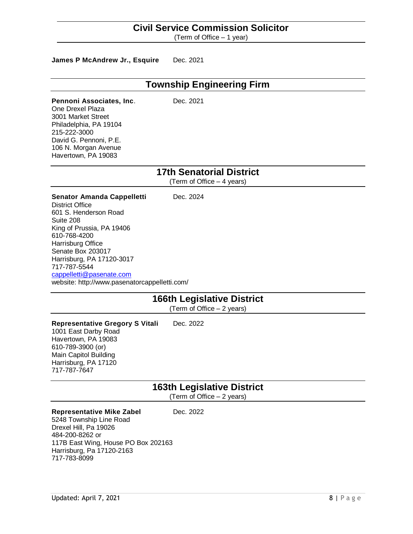#### **Civil Service Commission Solicitor**

(Term of Office – 1 year)

#### <span id="page-7-0"></span>James P McAndrew Jr., Esquire Dec. 2021

### **Township Engineering Firm**

<span id="page-7-1"></span>**Pennoni Associates, Inc.** Dec. 2021 One Drexel Plaza 3001 Market Street Philadelphia, PA 19104 215-222-3000 David G. Pennoni, P.E. 106 N. Morgan Avenue Havertown, PA 19083

### **17th Senatorial District**

(Term of Office – 4 years)

#### <span id="page-7-2"></span>**Senator Amanda Cappelletti** Dec. 2024

District Office 601 S. Henderson Road Suite 208 King of Prussia, PA 19406 610-768-4200 Harrisburg Office Senate Box 203017 Harrisburg, PA 17120-3017 717-787-5544 [cappelletti@pasenate.com](mailto:leach@pasenate.com) website: http://www.pasenatorcappelletti.com/

### **166th Legislative District**

(Term of Office – 2 years)

#### <span id="page-7-3"></span>**Representative Gregory S Vitali** Dec. 2022 1001 East Darby Road Havertown, PA 19083 610-789-3900 (or) Main Capitol Building Harrisburg, PA 17120 717-787-7647

### **163th Legislative District**

(Term of Office – 2 years)

#### <span id="page-7-4"></span>**Representative Mike Zabel** Dec. 2022

5248 Township Line Road Drexel Hill, Pa 19026 484-200-8262 or 117B East Wing, House PO Box 202163 Harrisburg, Pa 17120-2163 717-783-8099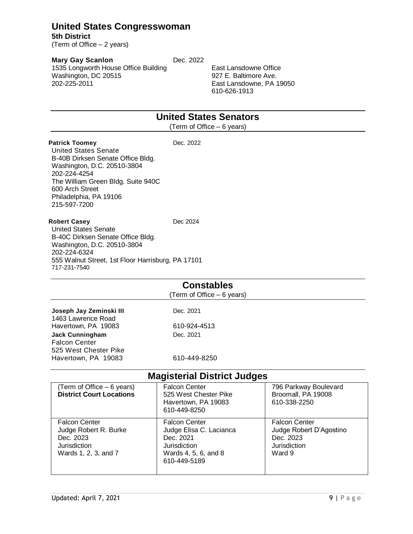### <span id="page-8-0"></span>**United States Congresswoman**

**5th District** (Term of Office – 2 years)

**Mary Gay Scanlon** Dec. 2022

1535 Longworth House Office Building Washington, DC 20515 202-225-2011

East Lansdowne Office 927 E. Baltimore Ave. East Lansdowne, PA 19050 610-626-1913

## **United States Senators**

(Term of Office – 6 years)

<span id="page-8-1"></span>**Patrick Toomey** Dec. 2022 United States Senate B-40B Dirksen Senate Office Bldg. Washington, D.C. 20510-3804 202-224-4254 The William Green Bldg. Suite 940C 600 Arch Street Philadelphia, PA 19106 215-597-7200

#### **Robert Casey Dec 2024**

United States Senate B-40C Dirksen Senate Office Bldg. Washington, D.C. 20510-3804 202-224-6324 555 Walnut Street, 1st Floor Harrisburg, PA 17101 717-231-7540

#### **Constables**

(Term of Office – 6 years)

<span id="page-8-2"></span>**Joseph Jay Zeminski III** Dec. 2021 1463 Lawrence Road Havertown, PA 19083 610-924-4513 **Jack Cunningham** Dec. 2021 Falcon Center 525 West Chester Pike Havertown, PA 19083 610-449-8250

### **Magisterial District Judges**

<span id="page-8-3"></span>

| (Term of Office – 6 years)<br><b>District Court Locations</b>                                      | <b>Falcon Center</b><br>525 West Chester Pike<br>Havertown, PA 19083<br>610-449-8250                                 | 796 Parkway Boulevard<br>Broomall, PA 19008<br>610-338-2250                            |
|----------------------------------------------------------------------------------------------------|----------------------------------------------------------------------------------------------------------------------|----------------------------------------------------------------------------------------|
| <b>Falcon Center</b><br>Judge Robert R. Burke<br>Dec. 2023<br>Jurisdiction<br>Wards 1, 2, 3, and 7 | <b>Falcon Center</b><br>Judge Elisa C. Lacianca<br>Dec. 2021<br>Jurisdiction<br>Wards 4, 5, 6, and 8<br>610-449-5189 | <b>Falcon Center</b><br>Judge Robert D'Agostino<br>Dec. 2023<br>Jurisdiction<br>Ward 9 |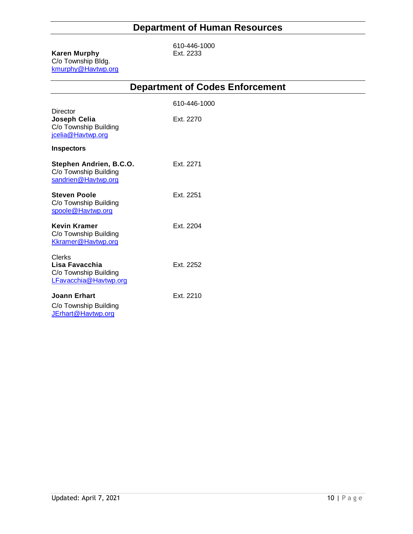# **Department of Human Resources**

#### <span id="page-9-0"></span>**Karen Murphy** C/o Township Bldg. kmurphy@Havtwp.org

610-446-1000<br>Ext. 2233

<span id="page-9-1"></span>

|                                                                                   | <b>Debarmient of Ande</b> |
|-----------------------------------------------------------------------------------|---------------------------|
|                                                                                   | 610-446-1000              |
| Director<br>Joseph Celia<br>C/o Township Building<br>jcelia@Havtwp.org            | Ext. 2270                 |
| <b>Inspectors</b>                                                                 |                           |
| Stephen Andrien, B.C.O.<br>C/o Township Building<br>sandrien@Havtwp.org           | Ext. 2271                 |
| <b>Steven Poole</b><br>C/o Township Building<br>spoole@Havtwp.org                 | Ext. 2251                 |
| <b>Kevin Kramer</b><br>C/o Township Building<br>Kkramer@Havtwp.org                | Ext. 2204                 |
| <b>Clerks</b><br>Lisa Favacchia<br>C/o Township Building<br>LFavacchia@Havtwp.org | Ext. 2252                 |
| Joann Erhart<br>C/o Township Building                                             | Fxt 2210                  |

[JErhart@Havtwp.org](mailto:JErhart@Havtwp.org)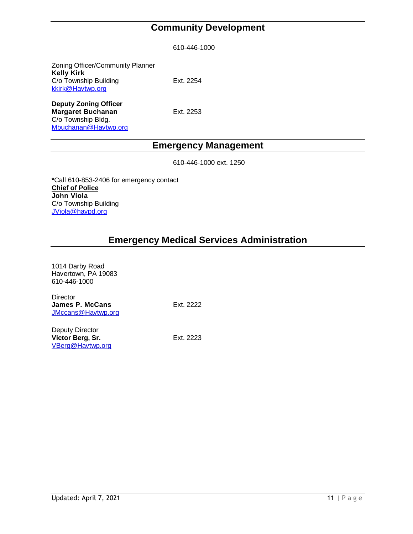# **Community Development**

|  | 610-446-1000 |  |
|--|--------------|--|
|--|--------------|--|

<span id="page-10-0"></span>

| Zoning Officer/Community Planner<br><b>Kelly Kirk</b> |           |
|-------------------------------------------------------|-----------|
| C/o Township Building<br>kkirk@Havtwp.org             | Ext. 2254 |
| Danuty Zoning Officer                                 |           |

**Deputy Zoning Officer Margaret Buchanan** Ext. 2253 C/o Township Bldg. [Mbuchanan@Havtwp.org](mailto:Mbuchanan@Havtwp.org)

# **Emergency Management**

610-446-1000 ext. 1250

<span id="page-10-1"></span>**\***Call 610-853-2406 for emergency contact **Chief of Police John Viola** C/o Township Building [JViola@havpd.org](mailto:lgentile@Havtwp.org)

### **Emergency Medical Services Administration**

<span id="page-10-2"></span>

| 1014 Darby Road<br>Havertown, PA 19083<br>610-446-1000   |           |
|----------------------------------------------------------|-----------|
| Director<br><b>James P. McCans</b><br>JMccans@Havtwp.org | Ext. 2222 |
| Deputy Director<br>Victor Berg, Sr.<br>VBerg@Havtwp.org  | Ext. 2223 |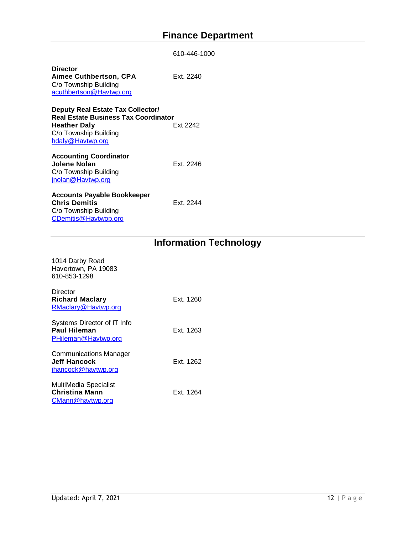# **Finance Department**

<span id="page-11-0"></span>

|                                                                                                                                               | 610-446-1000 |
|-----------------------------------------------------------------------------------------------------------------------------------------------|--------------|
| <b>Director</b><br><b>Aimee Cuthbertson, CPA</b><br>C/o Township Building<br>acuthbertson@Havtwp.org                                          | Fxt 2240     |
| Deputy Real Estate Tax Collector/<br><b>Real Estate Business Tax Coordinator</b><br>Heather Daly<br>C/o Township Building<br>hdaly@Havtwp.org | Ext 2242     |
| <b>Accounting Coordinator</b><br>Jolene Nolan<br>C/o Township Building<br>jnolan@Havtwp.org                                                   | Ext. 2246    |
| Accounts Payable Bookkeeper<br><b>Chris Demitis</b><br>C/o Township Building<br>CDemitis@Havtwop.org                                          | Fxt 2244     |

# **Information Technology**

<span id="page-11-1"></span>

| 1014 Darby Road<br>Havertown, PA 19083<br>610-853-1298                      |           |
|-----------------------------------------------------------------------------|-----------|
| Director<br><b>Richard Maclary</b><br>RMaclary@Havtwp.org                   | Ext. 1260 |
| Systems Director of IT Info<br>Paul Hileman<br>PHileman@Havtwp.org          | Ext. 1263 |
| <b>Communications Manager</b><br><b>Jeff Hancock</b><br>jhancock@havtwp.org | Ext. 1262 |
| MultiMedia Specialist<br><b>Christina Mann</b><br>CMann@havtwp.org          | Ext. 1264 |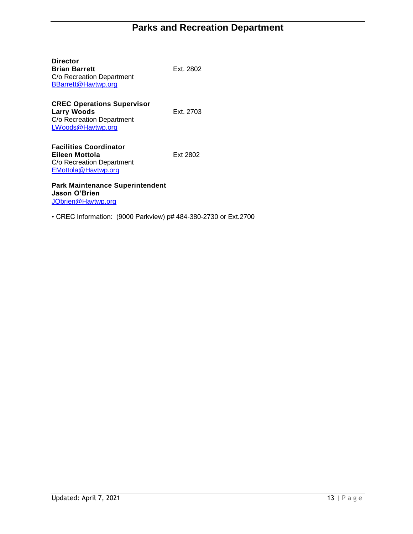<span id="page-12-0"></span>

| <b>Director</b><br><b>Brian Barrett</b><br>C/o Recreation Department<br>BBarrett@Havtwp.org               | Ext. 2802 |
|-----------------------------------------------------------------------------------------------------------|-----------|
| <b>CREC Operations Supervisor</b><br><b>Larry Woods</b><br>C/o Recreation Department<br>LWoods@Havtwp.org | Ext. 2703 |
| <b>Facilities Coordinator</b><br>Eileen Mottola<br>C/o Recreation Department<br>EMottola@Havtwp.org       | Ext 2802  |
| <b>Park Maintenance Superintendent</b><br>Jason O'Brien<br>JObrien@Havtwp.org                             |           |

• CREC Information: (9000 Parkview) p# 484-380-2730 or Ext.2700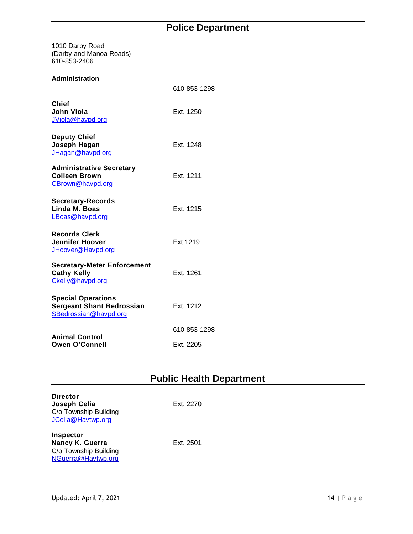<span id="page-13-0"></span>1010 Darby Road (Darby and Manoa Roads) 610-853-2406

#### **Administration**

|                                                                                        | 610-853-1298 |
|----------------------------------------------------------------------------------------|--------------|
| <b>Chief</b><br>John Viola<br>JViola@havpd.org                                         | Ext. 1250    |
| <b>Deputy Chief</b><br>Joseph Hagan<br>JHagan@havpd.org                                | Ext. 1248    |
| <b>Administrative Secretary</b><br><b>Colleen Brown</b><br>CBrown@havpd.org            | Ext. 1211    |
| <b>Secretary-Records</b><br>Linda M. Boas<br>LBoas@havpd.org                           | Ext. 1215    |
| <b>Records Clerk</b><br><b>Jennifer Hoover</b><br>JHoover@Havpd.org                    | Ext 1219     |
| <b>Secretary-Meter Enforcement</b><br><b>Cathy Kelly</b><br>Ckelly@havpd.org           | Ext. 1261    |
| <b>Special Operations</b><br><b>Sergeant Shant Bedrossian</b><br>SBedrossian@havpd.org | Ext. 1212    |
|                                                                                        | 610-853-1298 |
| <b>Animal Control</b><br><b>Owen O'Connell</b>                                         | Ext. 2205    |

# **Public Health Department**

<span id="page-13-1"></span>

| <b>Director</b><br>Joseph Celia<br>C/o Township Building<br>JCelia@Havtwp.org | Ext. 2270 |
|-------------------------------------------------------------------------------|-----------|
| Inspector<br>Nancy K. Guerra<br>C/o Township Building<br>NGuerra@Havtwp.org   | Ext. 2501 |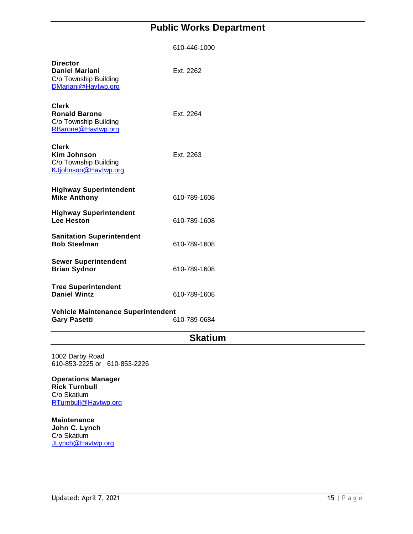# **Public Works Department**

<span id="page-14-0"></span>

|                                                                                          | 610-446-1000 |
|------------------------------------------------------------------------------------------|--------------|
| <b>Director</b><br><b>Daniel Mariani</b><br>C/o Township Building<br>DMariani@Havtwp.org | Ext. 2262    |
| <b>Clerk</b><br><b>Ronald Barone</b><br>C/o Township Building<br>RBarone@Havtwp.org      | Ext. 2264    |
| <b>Clerk</b><br><b>Kim Johnson</b><br>C/o Township Building<br>KJjohnson@Havtwp.org      | Ext. 2263    |
| <b>Highway Superintendent</b><br><b>Mike Anthony</b>                                     | 610-789-1608 |
| <b>Highway Superintendent</b><br><b>Lee Heston</b>                                       | 610-789-1608 |
| <b>Sanitation Superintendent</b><br><b>Bob Steelman</b>                                  | 610-789-1608 |
| <b>Sewer Superintendent</b><br><b>Brian Sydnor</b>                                       | 610-789-1608 |
| <b>Tree Superintendent</b><br><b>Daniel Wintz</b>                                        | 610-789-1608 |
| Vehicle Maintenance Superintendent<br><b>Gary Pasetti</b>                                | 610-789-0684 |

### **Skatium**

<span id="page-14-1"></span>1002 Darby Road 610-853-2225 or 610-853-2226

**Operations Manager Rick Turnbull** C/o Skatium [RTurnbull@Havtwp.org](mailto:RTurnbull@Havtwp.org)

**Maintenance John C. Lynch** C/o Skatium [JLynch@Havtwp.org](mailto:JLynch@Havtwp.org)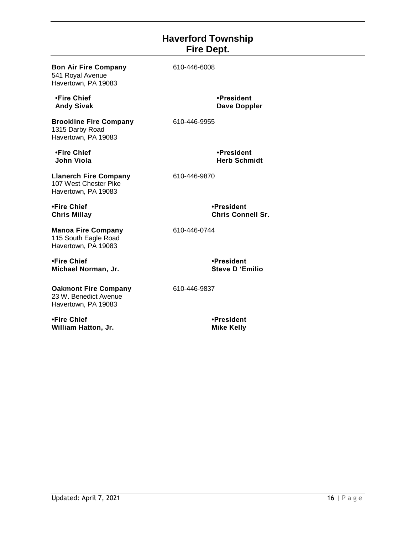### **Haverford Township Fire Dept.**

<span id="page-15-0"></span>

| <b>Bon Air Fire Company</b><br>541 Royal Avenue<br>Havertown, PA 19083       | 610-446-6008                           |
|------------------------------------------------------------------------------|----------------------------------------|
| •Fire Chief<br><b>Andy Sivak</b>                                             | •President<br><b>Dave Doppler</b>      |
| <b>Brookline Fire Company</b><br>1315 Darby Road<br>Havertown, PA 19083      | 610-446-9955                           |
| •Fire Chief<br><b>John Viola</b>                                             | •President<br><b>Herb Schmidt</b>      |
| <b>Llanerch Fire Company</b><br>107 West Chester Pike<br>Havertown, PA 19083 | 610-446-9870                           |
| •Fire Chief<br><b>Chris Millay</b>                                           | •President<br><b>Chris Connell Sr.</b> |
| <b>Manoa Fire Company</b><br>115 South Eagle Road<br>Havertown, PA 19083     | 610-446-0744                           |
| •Fire Chief<br>Michael Norman, Jr.                                           | •President<br><b>Steve D'Emilio</b>    |
| <b>Oakmont Fire Company</b><br>23 W. Benedict Avenue<br>Havertown, PA 19083  | 610-446-9837                           |
| •Fire Chief<br>William Hatton, Jr.                                           | •President<br><b>Mike Kelly</b>        |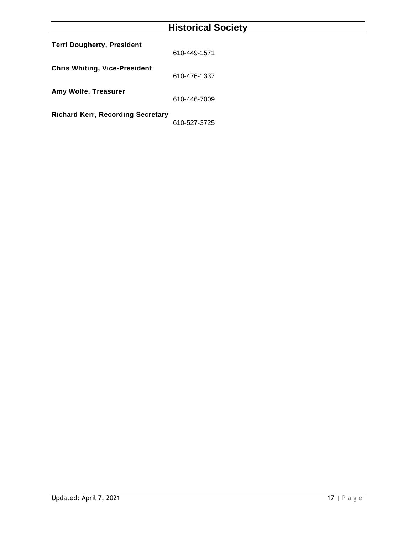# **Historical Society**

<span id="page-16-0"></span>

| <b>Terri Dougherty, President</b>        | 610-449-1571 |
|------------------------------------------|--------------|
| <b>Chris Whiting, Vice-President</b>     | 610-476-1337 |
| Amy Wolfe, Treasurer                     | 610-446-7009 |
| <b>Richard Kerr, Recording Secretary</b> | 610-527-3725 |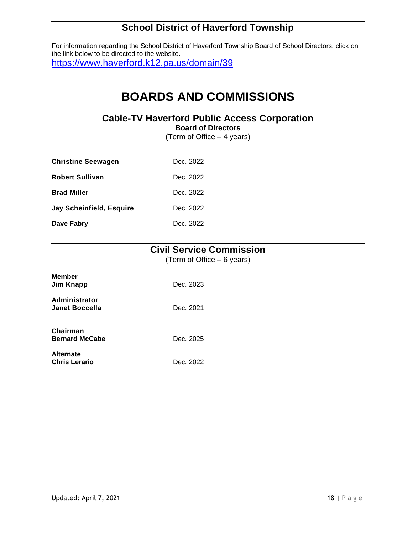# **School District of Haverford Township**

<span id="page-17-0"></span>For information regarding the School District of Haverford Township Board of School Directors, click on the link below to be directed to the website. <https://www.haverford.k12.pa.us/domain/39>

# **BOARDS AND COMMISSIONS**

<span id="page-17-1"></span>

| <b>Cable-TV Haverford Public Access Corporation</b><br><b>Board of Directors</b><br>(Term of Office $-4$ years) |                                                                |  |
|-----------------------------------------------------------------------------------------------------------------|----------------------------------------------------------------|--|
| <b>Christine Seewagen</b>                                                                                       | Dec. 2022                                                      |  |
| <b>Robert Sullivan</b>                                                                                          | Dec. 2022                                                      |  |
| <b>Brad Miller</b>                                                                                              | Dec. 2022                                                      |  |
| Jay Scheinfield, Esquire                                                                                        | Dec. 2022                                                      |  |
| Dave Fabry                                                                                                      | Dec. 2022                                                      |  |
|                                                                                                                 | <b>Civil Service Commission</b><br>(Term of Office $-6$ years) |  |

<span id="page-17-2"></span>

| <b>Member</b><br>Jim Knapp               | Dec. 2023 |
|------------------------------------------|-----------|
| Administrator<br><b>Janet Boccella</b>   | Dec. 2021 |
| Chairman<br><b>Bernard McCabe</b>        | Dec. 2025 |
| <b>Alternate</b><br><b>Chris Lerario</b> | Dec. 2022 |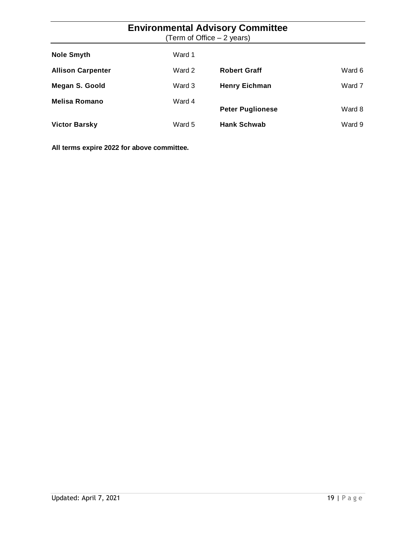# **Environmental Advisory Committee**

(Term of Office – 2 years)

<span id="page-18-0"></span>

| <b>Nole Smyth</b>        | Ward 1 |                         |        |
|--------------------------|--------|-------------------------|--------|
| <b>Allison Carpenter</b> | Ward 2 | <b>Robert Graff</b>     | Ward 6 |
| Megan S. Goold           | Ward 3 | <b>Henry Eichman</b>    | Ward 7 |
| <b>Melisa Romano</b>     | Ward 4 | <b>Peter Puglionese</b> | Ward 8 |
| <b>Victor Barsky</b>     | Ward 5 | <b>Hank Schwab</b>      | Ward 9 |

**All terms expire 2022 for above committee.**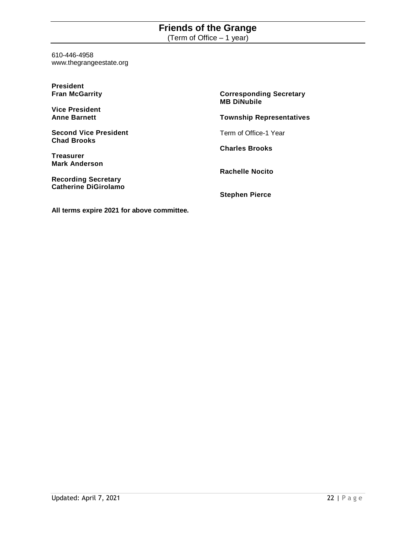# **Friends of the Grange**

(Term of Office – 1 year)

<span id="page-19-0"></span>610-446-4958 www.thegrangeestate.org

| <b>President</b>             |                                                      |
|------------------------------|------------------------------------------------------|
| <b>Fran McGarrity</b>        | <b>Corresponding Secretary</b><br><b>MB DiNubile</b> |
| <b>Vice President</b>        |                                                      |
| <b>Anne Barnett</b>          | <b>Township Representatives</b>                      |
| <b>Second Vice President</b> | Term of Office-1 Year                                |
| <b>Chad Brooks</b>           | <b>Charles Brooks</b>                                |
| <b>Treasurer</b>             |                                                      |
| <b>Mark Anderson</b>         | <b>Rachelle Nocito</b>                               |
| <b>Recording Secretary</b>   |                                                      |
| <b>Catherine DiGirolamo</b>  | <b>Stephen Pierce</b>                                |
|                              |                                                      |

**All terms expire 2021 for above committee.**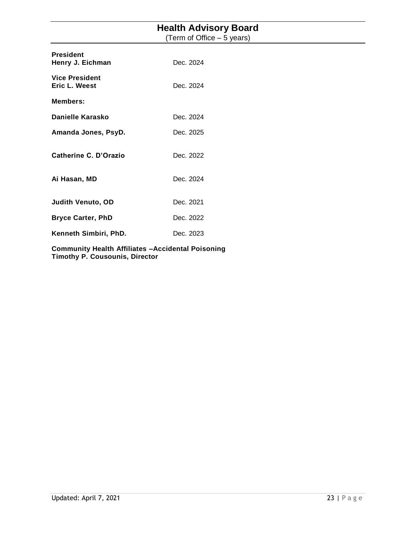# **Health Advisory Board**

(Term of Office – 5 years)

<span id="page-20-0"></span>

| <b>President</b><br>Henry J. Eichman   | Dec. 2024 |
|----------------------------------------|-----------|
| <b>Vice President</b><br>Eric L. Weest | Dec. 2024 |
| <b>Members:</b>                        |           |
| Danielle Karasko                       | Dec. 2024 |
| Amanda Jones, PsyD.                    | Dec. 2025 |
| <b>Catherine C. D'Orazio</b>           | Dec. 2022 |
| Ai Hasan, MD                           | Dec. 2024 |
| <b>Judith Venuto, OD</b>               | Dec. 2021 |
| <b>Bryce Carter, PhD</b>               | Dec. 2022 |
| Kenneth Simbiri, PhD.                  | Dec. 2023 |
|                                        |           |

<span id="page-20-1"></span>**Community Health Affiliates –Accidental Poisoning Timothy P. Cousounis, Director**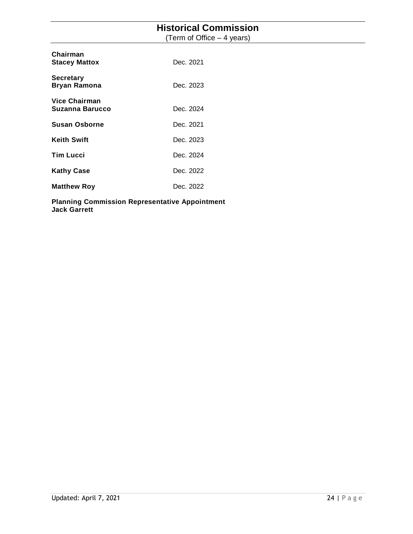### **Historical Commission**

(Term of Office – 4 years)

| Chairman<br><b>Stacey Mattox</b>        | Dec. 2021 |
|-----------------------------------------|-----------|
| <b>Secretary</b><br><b>Bryan Ramona</b> | Dec. 2023 |
| Vice Chairman<br>Suzanna Barucco        | Dec. 2024 |
| Susan Osborne                           | Dec. 2021 |
| <b>Keith Swift</b>                      | Dec. 2023 |
| <b>Tim Lucci</b>                        | Dec. 2024 |
| <b>Kathy Case</b>                       | Dec. 2022 |
| <b>Matthew Roy</b>                      | Dec. 2022 |

<span id="page-21-0"></span>**Planning Commission Representative Appointment Jack Garrett**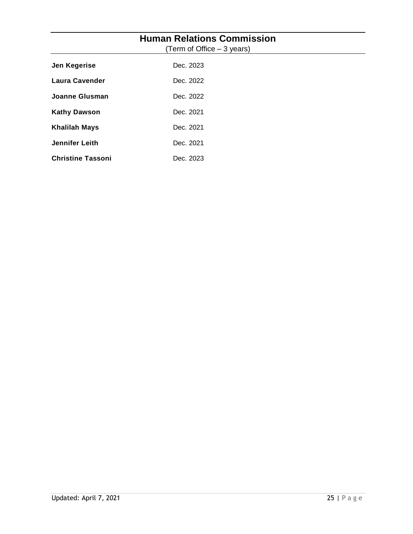| <b>Human Relations Commission</b><br>(Term of Office – 3 years) |           |  |
|-----------------------------------------------------------------|-----------|--|
| Jen Kegerise                                                    | Dec. 2023 |  |
| <b>Laura Cavender</b>                                           | Dec. 2022 |  |
| <b>Joanne Glusman</b>                                           | Dec. 2022 |  |
| <b>Kathy Dawson</b>                                             | Dec. 2021 |  |
| <b>Khalilah Mays</b>                                            | Dec. 2021 |  |
| Jennifer Leith                                                  | Dec. 2021 |  |
| <b>Christine Tassoni</b>                                        | Dec. 2023 |  |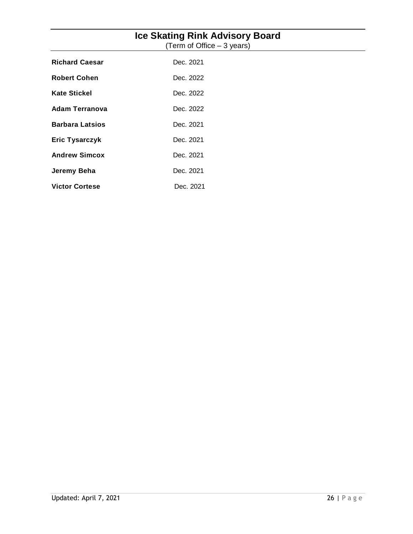<span id="page-23-0"></span>

| <b>Ice Skating Rink Advisory Board</b><br>(Term of Office – 3 years) |           |  |
|----------------------------------------------------------------------|-----------|--|
| <b>Richard Caesar</b>                                                | Dec. 2021 |  |
| <b>Robert Cohen</b>                                                  | Dec. 2022 |  |
| <b>Kate Stickel</b>                                                  | Dec. 2022 |  |
| <b>Adam Terranova</b>                                                | Dec. 2022 |  |
| <b>Barbara Latsios</b>                                               | Dec. 2021 |  |
| <b>Eric Tysarczyk</b>                                                | Dec. 2021 |  |
| <b>Andrew Simcox</b>                                                 | Dec. 2021 |  |
| Jeremy Beha                                                          | Dec. 2021 |  |
| <b>Victor Cortese</b>                                                | Dec. 2021 |  |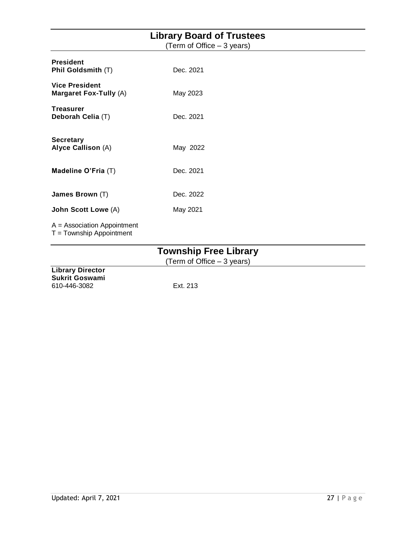<span id="page-24-0"></span>

| <b>Library Board of Trustees</b>                            |                            |  |
|-------------------------------------------------------------|----------------------------|--|
|                                                             | (Term of Office – 3 years) |  |
| <b>President</b><br>Phil Goldsmith (T)                      | Dec. 2021                  |  |
| <b>Vice President</b><br>Margaret Fox-Tully (A)             | May 2023                   |  |
| <b>Treasurer</b><br>Deborah Celia (T)                       | Dec. 2021                  |  |
| <b>Secretary</b><br>Alyce Callison (A)                      | May 2022                   |  |
| Madeline O'Fria (T)                                         | Dec. 2021                  |  |
| James Brown (T)                                             | Dec. 2022                  |  |
| John Scott Lowe (A)                                         | May 2021                   |  |
| $A =$ Association Appointment<br>$T =$ Township Appointment |                            |  |

# **Township Free Library**

(Term of Office – 3 years)

<span id="page-24-1"></span>**Library Director Sukrit Goswami** 610-446-3082 Ext. 213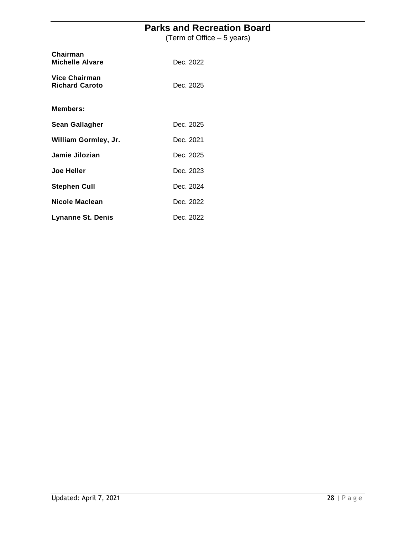# **Parks and Recreation Board**

(Term of Office – 5 years)

<span id="page-25-0"></span>

| Chairman<br><b>Michelle Alvare</b>            | Dec. 2022 |
|-----------------------------------------------|-----------|
| <b>Vice Chairman</b><br><b>Richard Caroto</b> | Dec. 2025 |
| Members:                                      |           |
| Sean Gallagher                                | Dec. 2025 |
| William Gormley, Jr.                          | Dec. 2021 |
| Jamie Jilozian                                | Dec. 2025 |
| <b>Joe Heller</b>                             | Dec. 2023 |
| <b>Stephen Cull</b>                           | Dec. 2024 |
| Nicole Maclean                                | Dec. 2022 |
| Lynanne St. Denis                             | Dec. 2022 |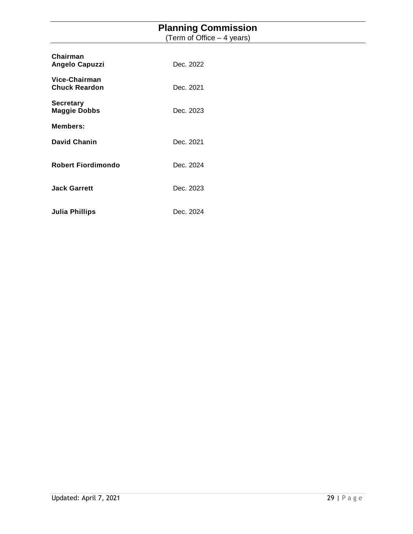### **Planning Commission**

(Term of Office – 4 years)

<span id="page-26-0"></span>

| Chairman<br><b>Angelo Capuzzi</b>       | Dec. 2022 |
|-----------------------------------------|-----------|
| Vice-Chairman<br><b>Chuck Reardon</b>   | Dec. 2021 |
| <b>Secretary</b><br><b>Maggie Dobbs</b> | Dec. 2023 |
| <b>Members:</b>                         |           |
| <b>David Chanin</b>                     | Dec. 2021 |
| <b>Robert Fiordimondo</b>               | Dec. 2024 |
| <b>Jack Garrett</b>                     | Dec. 2023 |
| <b>Julia Phillips</b>                   | Dec. 2024 |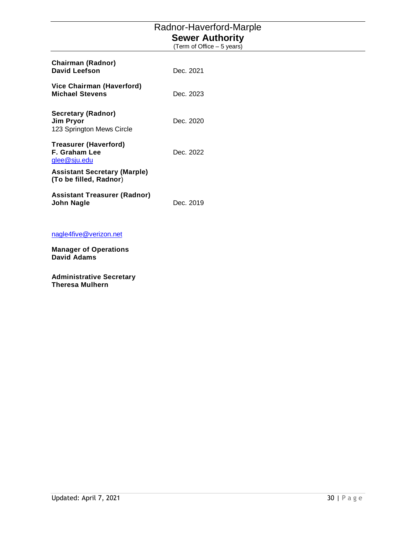# Radnor-Haverford-Marple **Sewer Authority**

(Term of Office – 5 years)

<span id="page-27-0"></span>

| <b>Chairman (Radnor)</b><br>David Leefson                     | Dec. 2021 |
|---------------------------------------------------------------|-----------|
| Vice Chairman (Haverford)<br><b>Michael Stevens</b>           | Dec. 2023 |
| Secretary (Radnor)<br>Jim Pryor<br>123 Springton Mews Circle  | Dec. 2020 |
| Treasurer (Haverford)<br>F. Graham Lee<br>glee@sju.edu        | Dec. 2022 |
| <b>Assistant Secretary (Marple)</b><br>(To be filled, Radnor) |           |
| Assistant Treasurer (Radnor)<br>John Nagle                    | Dec. 2019 |

#### [nagle4five@verizon.net](mailto:nagle4five@verizon.net)

**Manager of Operations David Adams**

**Administrative Secretary Theresa Mulhern**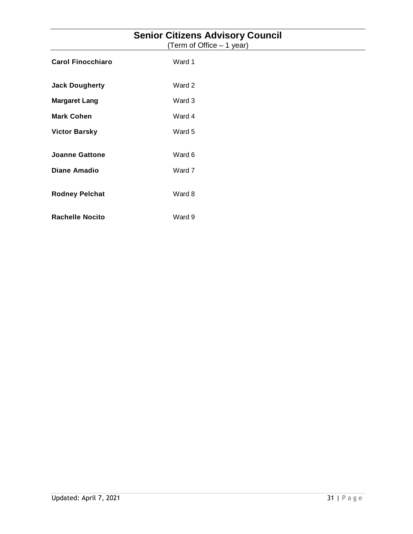<span id="page-28-0"></span>

| <b>Senior Citizens Advisory Council</b><br>(Term of Office - 1 year) |        |  |
|----------------------------------------------------------------------|--------|--|
| <b>Carol Finocchiaro</b>                                             | Ward 1 |  |
| <b>Jack Dougherty</b>                                                | Ward 2 |  |
| <b>Margaret Lang</b>                                                 | Ward 3 |  |
| <b>Mark Cohen</b>                                                    | Ward 4 |  |
| <b>Victor Barsky</b>                                                 | Ward 5 |  |
| <b>Joanne Gattone</b>                                                | Ward 6 |  |
| <b>Diane Amadio</b>                                                  | Ward 7 |  |
| <b>Rodney Pelchat</b>                                                | Ward 8 |  |
| <b>Rachelle Nocito</b>                                               | Ward 9 |  |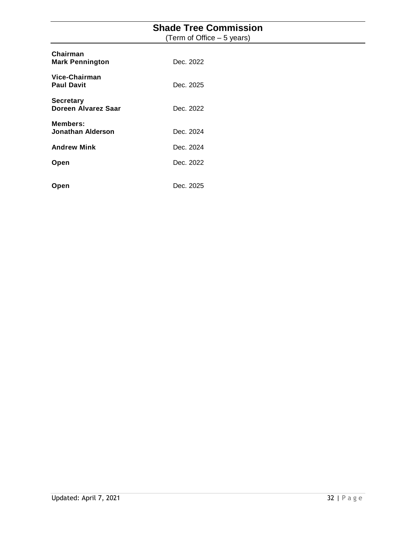# **Shade Tree Commission**

(Term of Office – 5 years)

<span id="page-29-0"></span>

| Chairman<br><b>Mark Pennington</b>      | Dec. 2022 |
|-----------------------------------------|-----------|
| Vice-Chairman<br><b>Paul Davit</b>      | Dec. 2025 |
| <b>Secretary</b><br>Doreen Alvarez Saar | Dec. 2022 |
| <b>Members:</b><br>Jonathan Alderson    | Dec. 2024 |
| <b>Andrew Mink</b>                      | Dec. 2024 |
| Open                                    | Dec. 2022 |
| Open                                    | Dec. 2025 |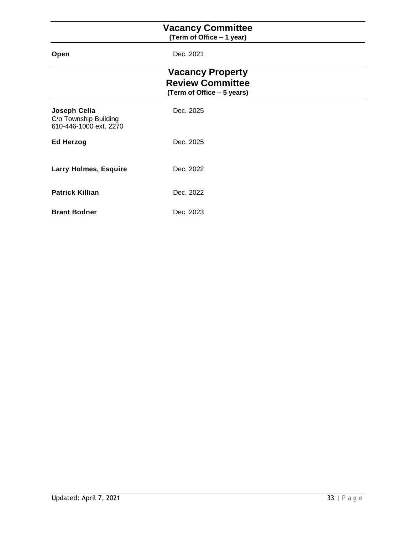### **Vacancy Committee**

**(Term of Office – 1 year)**

<span id="page-30-2"></span><span id="page-30-1"></span><span id="page-30-0"></span>

| Open                                                            | Dec. 2021                                                                        |  |
|-----------------------------------------------------------------|----------------------------------------------------------------------------------|--|
|                                                                 | <b>Vacancy Property</b><br><b>Review Committee</b><br>(Term of Office – 5 years) |  |
| Joseph Celia<br>C/o Township Building<br>610-446-1000 ext. 2270 | Dec. 2025                                                                        |  |
| <b>Ed Herzog</b>                                                | Dec. 2025                                                                        |  |
| <b>Larry Holmes, Esquire</b>                                    | Dec. 2022                                                                        |  |
| <b>Patrick Killian</b>                                          | Dec. 2022                                                                        |  |
| <b>Brant Bodner</b>                                             | Dec. 2023                                                                        |  |